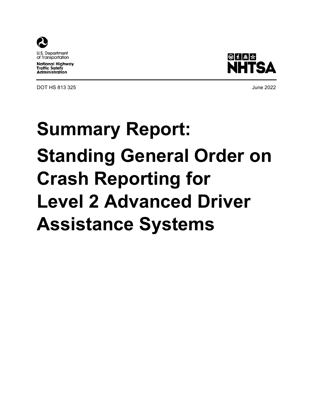

**National Highway Traffic Safety Administration** 

DOT HS 813 325 June 2022



# **Summary Report: Standing General Order on Crash Reporting for Level 2 Advanced Driver Assistance Systems**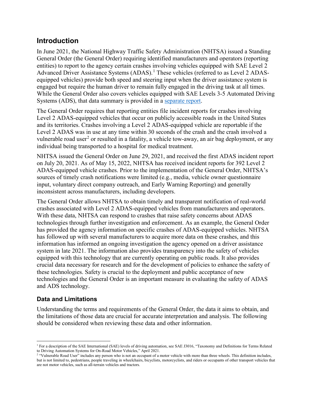## **Introduction**

In June 2021, the National Highway Traffic Safety Administration (NHTSA) issued a Standing General Order (the General Order) requiring identified manufacturers and operators (reporting entities) to report to the agency certain crashes involving vehicles equipped with SAE Level 2 Advanced Driver Assistance Systems (ADAS). [1](#page-1-0) These vehicles (referred to as Level 2 ADASequipped vehicles) provide both speed and steering input when the driver assistance system is engaged but require the human driver to remain fully engaged in the driving task at all times. While the General Order also covers vehicles equipped with SAE Levels 3-5 Automated Driving Systems (ADS), that data summary is provided in a [separate report.](https://www.nhtsa.gov/document/summary-report-standing-general-order-ads)

The General Order requires that reporting entities file incident reports for crashes involving Level 2 ADAS-equipped vehicles that occur on publicly accessible roads in the United States and its territories. Crashes involving a Level 2 ADAS-equipped vehicle are reportable if the Level 2 ADAS was in use at any time within 30 seconds of the crash and the crash involved a vulnerable road user<sup>[2](#page-1-1)</sup> or resulted in a fatality, a vehicle tow-away, an air bag deployment, or any individual being transported to a hospital for medical treatment.

NHTSA issued the General Order on June 29, 2021, and received the first ADAS incident report on July 20, 2021. As of May 15, 2022, NHTSA has received incident reports for 392 Level 2 ADAS-equipped vehicle crashes. Prior to the implementation of the General Order, NHTSA's sources of timely crash notifications were limited (e.g., media, vehicle owner questionnaire input, voluntary direct company outreach, and Early Warning Reporting) and generally inconsistent across manufacturers, including developers.

The General Order allows NHTSA to obtain timely and transparent notification of real-world crashes associated with Level 2 ADAS-equipped vehicles from manufacturers and operators. With these data, NHTSA can respond to crashes that raise safety concerns about ADAS technologies through further investigation and enforcement. As an example, the General Order has provided the agency information on specific crashes of ADAS-equipped vehicles. NHTSA has followed up with several manufacturers to acquire more data on these crashes, and this information has informed an ongoing investigation the agency opened on a driver assistance system in late 2021. The information also provides transparency into the safety of vehicles equipped with this technology that are currently operating on public roads. It also provides crucial data necessary for research and for the development of policies to enhance the safety of these technologies. Safety is crucial to the deployment and public acceptance of new technologies and the General Order is an important measure in evaluating the safety of ADAS and ADS technology.

#### **Data and Limitations**

Understanding the terms and requirements of the General Order, the data it aims to obtain, and the limitations of those data are crucial for accurate interpretation and analysis. The following should be considered when reviewing these data and other information.

<span id="page-1-0"></span> $\overline{\phantom{a}}$ <sup>1</sup> For a description of the SAE International (SAE) levels of driving automation, see SAE J3016, "Taxonomy and Definitions for Terms Related to Driving Automation Systems for On-Road Motor Vehicles," April 2021.

<span id="page-1-1"></span><sup>&</sup>lt;sup>2</sup> "Vulnerable Road User" includes any person who is not an occupant of a motor vehicle with more than three wheels. This definition includes, but is not limited to, pedestrians, people traveling in wheelchairs, bicyclists, motorcyclists, and riders or occupants of other transport vehicles that are not motor vehicles, such as all-terrain vehicles and tractors.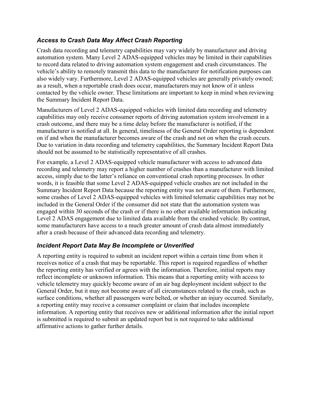#### *Access to Crash Data May Affect Crash Reporting*

Crash data recording and telemetry capabilities may vary widely by manufacturer and driving automation system. Many Level 2 ADAS-equipped vehicles may be limited in their capabilities to record data related to driving automation system engagement and crash circumstances. The vehicle's ability to remotely transmit this data to the manufacturer for notification purposes can also widely vary. Furthermore, Level 2 ADAS-equipped vehicles are generally privately owned; as a result, when a reportable crash does occur, manufacturers may not know of it unless contacted by the vehicle owner. These limitations are important to keep in mind when reviewing the Summary Incident Report Data.

Manufacturers of Level 2 ADAS-equipped vehicles with limited data recording and telemetry capabilities may only receive consumer reports of driving automation system involvement in a crash outcome, and there may be a time delay before the manufacturer is notified, if the manufacturer is notified at all. In general, timeliness of the General Order reporting is dependent on if and when the manufacturer becomes aware of the crash and not on when the crash occurs. Due to variation in data recording and telemetry capabilities, the Summary Incident Report Data should not be assumed to be statistically representative of all crashes.

For example, a Level 2 ADAS-equipped vehicle manufacturer with access to advanced data recording and telemetry may report a higher number of crashes than a manufacturer with limited access, simply due to the latter's reliance on conventional crash reporting processes. In other words, it is feasible that some Level 2 ADAS-equipped vehicle crashes are not included in the Summary Incident Report Data because the reporting entity was not aware of them. Furthermore, some crashes of Level 2 ADAS-equipped vehicles with limited telematic capabilities may not be included in the General Order if the consumer did not state that the automation system was engaged within 30 seconds of the crash or if there is no other available information indicating Level 2 ADAS engagement due to limited data available from the crashed vehicle. By contrast, some manufacturers have access to a much greater amount of crash data almost immediately after a crash because of their advanced data recording and telemetry.

#### *Incident Report Data May Be Incomplete or Unverified*

A reporting entity is required to submit an incident report within a certain time from when it receives notice of a crash that may be reportable. This report is required regardless of whether the reporting entity has verified or agrees with the information. Therefore, initial reports may reflect incomplete or unknown information. This means that a reporting entity with access to vehicle telemetry may quickly become aware of an air bag deployment incident subject to the General Order, but it may not become aware of all circumstances related to the crash, such as surface conditions, whether all passengers were belted, or whether an injury occurred. Similarly, a reporting entity may receive a consumer complaint or claim that includes incomplete information. A reporting entity that receives new or additional information after the initial report is submitted is required to submit an updated report but is not required to take additional affirmative actions to gather further details.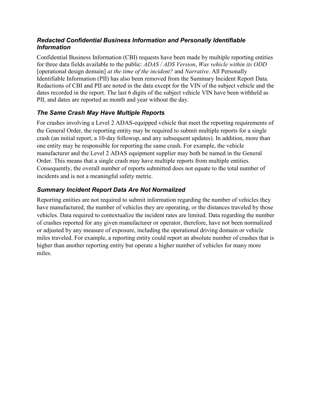#### *Redacted Confidential Business Information and Personally Identifiable Information*

Confidential Business Information (CBI) requests have been made by multiple reporting entities for three data fields available to the public: *ADAS / ADS Version*, *Was vehicle within its ODD* [operational design domain] *at the time of the incident?* and *Narrative*. All Personally Identifiable Information (PII) has also been removed from the Summary Incident Report Data. Redactions of CBI and PII are noted in the data except for the VIN of the subject vehicle and the dates recorded in the report. The last 6 digits of the subject vehicle VIN have been withheld as PII, and dates are reported as month and year without the day.

### *The Same Crash May Have Multiple Reports*

For crashes involving a Level 2 ADAS-equipped vehicle that meet the reporting requirements of the General Order, the reporting entity may be required to submit multiple reports for a single crash (an initial report, a 10-day followup, and any subsequent updates). In addition, more than one entity may be responsible for reporting the same crash. For example, the vehicle manufacturer and the Level 2 ADAS equipment supplier may both be named in the General Order. This means that a single crash may have multiple reports from multiple entities. Consequently, the overall number of reports submitted does not equate to the total number of incidents and is not a meaningful safety metric.

## *Summary Incident Report Data Are Not Normalized*

Reporting entities are not required to submit information regarding the number of vehicles they have manufactured, the number of vehicles they are operating, or the distances traveled by those vehicles. Data required to contextualize the incident rates are limited. Data regarding the number of crashes reported for any given manufacturer or operator, therefore, have not been normalized or adjusted by any measure of exposure, including the operational driving domain or vehicle miles traveled. For example, a reporting entity could report an absolute number of crashes that is higher than another reporting entity but operate a higher number of vehicles for many more miles.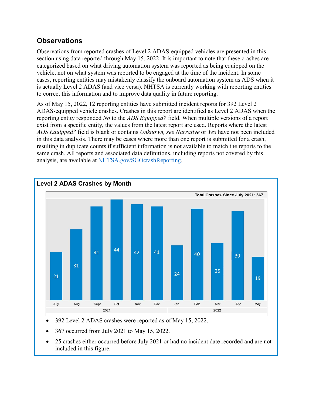## **Observations**

Observations from reported crashes of Level 2 ADAS-equipped vehicles are presented in this section using data reported through May 15, 2022. It is important to note that these crashes are categorized based on what driving automation system was reported as being equipped on the vehicle, not on what system was reported to be engaged at the time of the incident. In some cases, reporting entities may mistakenly classify the onboard automation system as ADS when it is actually Level 2 ADAS (and vice versa). NHTSA is currently working with reporting entities to correct this information and to improve data quality in future reporting.

As of May 15, 2022, 12 reporting entities have submitted incident reports for 392 Level 2 ADAS-equipped vehicle crashes. Crashes in this report are identified as Level 2 ADAS when the reporting entity responded *No* to the *ADS Equipped?* field. When multiple versions of a report exist from a specific entity, the values from the latest report are used. Reports where the latest *ADS Equipped?* field is blank or contains *Unknown, see Narrative* or *Yes* have not been included in this data analysis. There may be cases where more than one report is submitted for a crash, resulting in duplicate counts if sufficient information is not available to match the reports to the same crash. All reports and associated data definitions, including reports not covered by this analysis, are available at [NHTSA.gov/SGOcrashReporting.](https://www.nhtsa.gov/SGOcrashReporting)



• 392 Level 2 ADAS crashes were reported as of May 15, 2022.

- 367 occurred from July 2021 to May 15, 2022.
- 25 crashes either occurred before July 2021 or had no incident date recorded and are not included in this figure.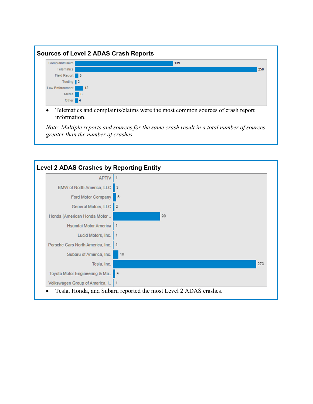

information.

*Note: Multiple reports and sources for the same crash result in a total number of sources greater than the number of crashes.* 

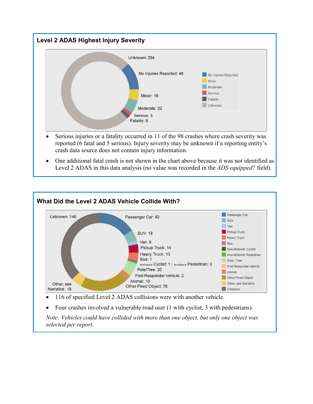

- Serious injuries or a fatality occurred in 11 of the 98 crashes where crash severity was reported (6 fatal and 5 serious). Injury severity may be unknown if a reporting entity's crash data source does not contain injury information.
- One additional fatal crash is not shown in the chart above because it was not identified as Level 2 ADAS in this data analysis (no value was recorded in the *ADS equipped?* field).



*Note: Vehicles could have collided with more than one object, but only one object was selected per report.*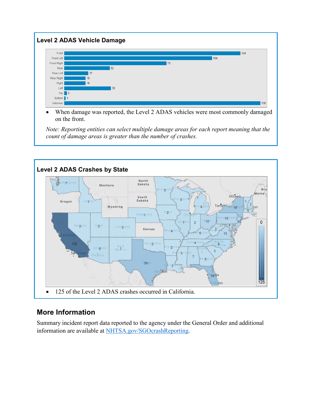

When damage was reported, the Level 2 ADAS vehicles were most commonly damaged on the front.

*Note: Reporting entities can select multiple damage areas for each report meaning that the count of damage areas is greater than the number of crashes.* 



# **More Information**

Summary incident report data reported to the agency under the General Order and additional information are available at [NHTSA.gov/SGOcrashReporting.](https://www.nhtsa.gov/SGOcrashReporting)